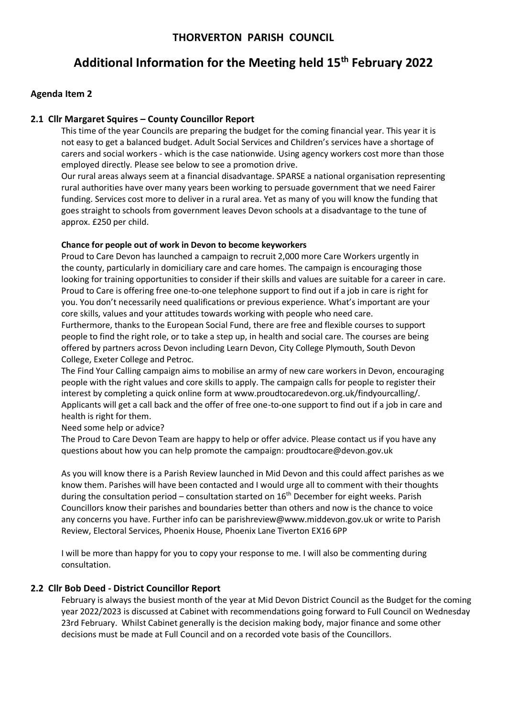# **Additional Information for the Meeting held 15th February 2022**

## **Agenda Item 2**

## **2.1 Cllr Margaret Squires – County Councillor Report**

This time of the year Councils are preparing the budget for the coming financial year. This year it is not easy to get a balanced budget. Adult Social Services and Children's services have a shortage of carers and social workers - which is the case nationwide. Using agency workers cost more than those employed directly. Please see below to see a promotion drive.

Our rural areas always seem at a financial disadvantage. SPARSE a national organisation representing rural authorities have over many years been working to persuade government that we need Fairer funding. Services cost more to deliver in a rural area. Yet as many of you will know the funding that goes straight to schools from government leaves Devon schools at a disadvantage to the tune of approx. £250 per child.

### **Chance for people out of work in Devon to become keyworkers**

Proud to Care Devon has launched a campaign to recruit 2,000 more Care Workers urgently in the county, particularly in domiciliary care and care homes. The campaign is encouraging those looking for training opportunities to consider if their skills and values are suitable for a career in care. Proud to Care is offering free one-to-one telephone support to find out if a job in care is right for you. You don't necessarily need qualifications or previous experience. What's important are your core skills, values and your attitudes towards working with people who need care.

Furthermore, thanks to the European Social Fund, there are free and flexible courses to support people to find the right role, or to take a step up, in health and social care. The courses are being offered by partners across Devon including Learn Devon, City College Plymouth, South Devon College, Exeter College and Petroc.

The Find Your Calling campaign aims to mobilise an army of new care workers in Devon, encouraging people with the right values and core skills to apply. The campaign calls for people to register their interest by completing a quick online form at www.proudtocaredevon.org.uk/findyourcalling/. Applicants will get a call back and the offer of free one-to-one support to find out if a job in care and health is right for them.

Need some help or advice?

The Proud to Care Devon Team are happy to help or offer advice. Please contact us if you have any questions about how you can help promote the campaign: proudtocare@devon.gov.uk

As you will know there is a Parish Review launched in Mid Devon and this could affect parishes as we know them. Parishes will have been contacted and I would urge all to comment with their thoughts during the consultation period – consultation started on  $16<sup>th</sup>$  December for eight weeks. Parish Councillors know their parishes and boundaries better than others and now is the chance to voice any concerns you have. Further info can be parishreview@www.middevon.gov.uk or write to Parish Review, Electoral Services, Phoenix House, Phoenix Lane Tiverton EX16 6PP

I will be more than happy for you to copy your response to me. I will also be commenting during consultation.

## **2.2 Cllr Bob Deed - District Councillor Report**

February is always the busiest month of the year at Mid Devon District Council as the Budget for the coming year 2022/2023 is discussed at Cabinet with recommendations going forward to Full Council on Wednesday 23rd February. Whilst Cabinet generally is the decision making body, major finance and some other decisions must be made at Full Council and on a recorded vote basis of the Councillors.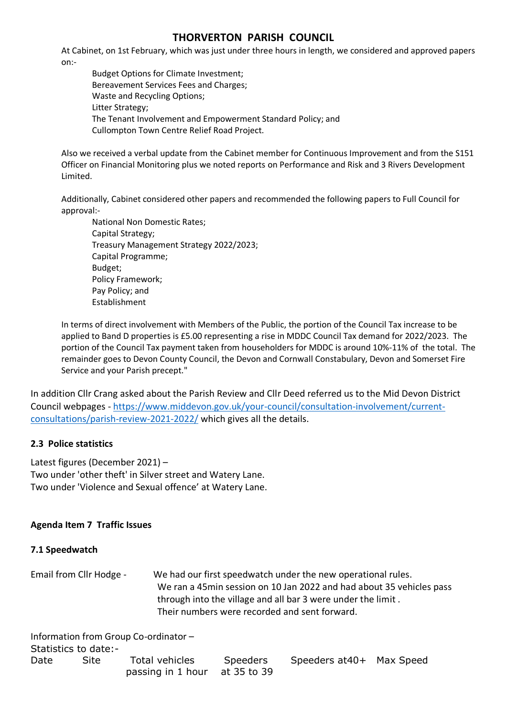At Cabinet, on 1st February, which was just under three hours in length, we considered and approved papers on:-

Budget Options for Climate Investment; Bereavement Services Fees and Charges; Waste and Recycling Options; Litter Strategy; The Tenant Involvement and Empowerment Standard Policy; and Cullompton Town Centre Relief Road Project.

Also we received a verbal update from the Cabinet member for Continuous Improvement and from the S151 Officer on Financial Monitoring plus we noted reports on Performance and Risk and 3 Rivers Development Limited.

Additionally, Cabinet considered other papers and recommended the following papers to Full Council for approval:-

National Non Domestic Rates; Capital Strategy; Treasury Management Strategy 2022/2023; Capital Programme; Budget; Policy Framework; Pay Policy; and Establishment

In terms of direct involvement with Members of the Public, the portion of the Council Tax increase to be applied to Band D properties is £5.00 representing a rise in MDDC Council Tax demand for 2022/2023. The portion of the Council Tax payment taken from householders for MDDC is around 10%-11% of the total. The remainder goes to Devon County Council, the Devon and Cornwall Constabulary, Devon and Somerset Fire Service and your Parish precept."

In addition Cllr Crang asked about the Parish Review and Cllr Deed referred us to the Mid Devon District Council webpages - [https://www.middevon.gov.uk/your-council/consultation-involvement/current](https://www.middevon.gov.uk/your-council/consultation-involvement/current-consultations/parish-review-2021-2022/)[consultations/parish-review-2021-2022/](https://www.middevon.gov.uk/your-council/consultation-involvement/current-consultations/parish-review-2021-2022/) which gives all the details.

# **2.3 Police statistics**

Latest figures (December 2021) – Two under 'other theft' in Silver street and Watery Lane. Two under 'Violence and Sexual offence' at Watery Lane.

# **Agenda Item 7 Traffic Issues**

## **7.1 Speedwatch**

Email from Cllr Hodge - We had our first speedwatch under the new operational rules. We ran a 45min session on 10 Jan 2022 and had about 35 vehicles pass through into the village and all bar 3 were under the limit . Their numbers were recorded and sent forward.

Information from Group Co-ordinator – Statistics to date:- Date Site Total vehicles Speeders Speeders at40+ Max Speed passing in 1 hour at 35 to 39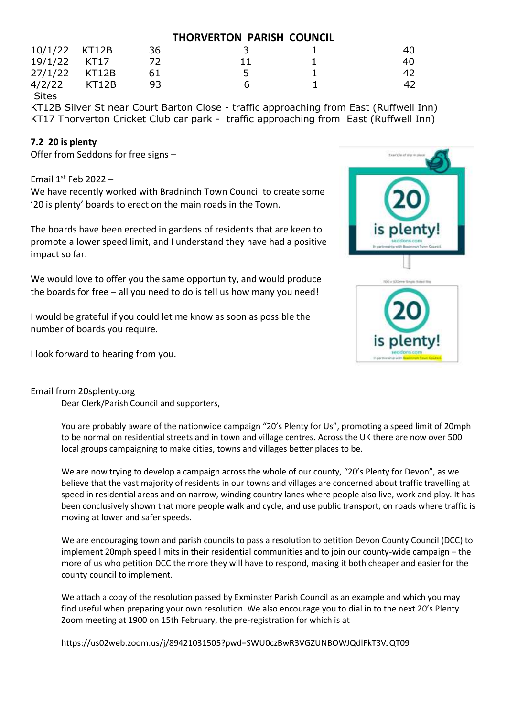| 10/1/22 KT12B |       | 36 |  | 40 |
|---------------|-------|----|--|----|
| 19/1/22 KT17  |       |    |  | 40 |
| 27/1/22 KT12B |       |    |  | 42 |
| 4/2/22        | KT12B | 93 |  | 42 |

Sites

KT12B Silver St near Court Barton Close - traffic approaching from East (Ruffwell Inn) KT17 Thorverton Cricket Club car park - traffic approaching from East (Ruffwell Inn)

# **7.2 20 is plenty**

Offer from Seddons for free signs –

Email  $1^{st}$  Feb 2022 –

We have recently worked with Bradninch Town Council to create some '20 is plenty' boards to erect on the main roads in the Town.

The boards have been erected in gardens of residents that are keen to promote a lower speed limit, and I understand they have had a positive impact so far.

We would love to offer you the same opportunity, and would produce the boards for free – all you need to do is tell us how many you need!

I would be grateful if you could let me know as soon as possible the number of boards you require.

I look forward to hearing from you.



## Email from 20splenty.org

Dear Clerk/Parish Council and supporters,

You are probably aware of the nationwide campaign "20's Plenty for Us", promoting a speed limit of 20mph to be normal on residential streets and in town and village centres. Across the UK there are now over 500 local groups campaigning to make cities, towns and villages better places to be.

We are now trying to develop a campaign across the whole of our county, "20's Plenty for Devon", as we believe that the vast majority of residents in our towns and villages are concerned about traffic travelling at speed in residential areas and on narrow, winding country lanes where people also live, work and play. It has been conclusively shown that more people walk and cycle, and use public transport, on roads where traffic is moving at lower and safer speeds.

We are encouraging town and parish councils to pass a resolution to petition Devon County Council (DCC) to implement 20mph speed limits in their residential communities and to join our county-wide campaign – the more of us who petition DCC the more they will have to respond, making it both cheaper and easier for the county council to implement.

We attach a copy of the resolution passed by Exminster Parish Council as an example and which you may find useful when preparing your own resolution. We also encourage you to dial in to the next 20's Plenty Zoom meeting at 1900 on 15th February, the pre-registration for which is at

https://us02web.zoom.us/j/89421031505?pwd=SWU0czBwR3VGZUNBOWJQdlFkT3VJQT09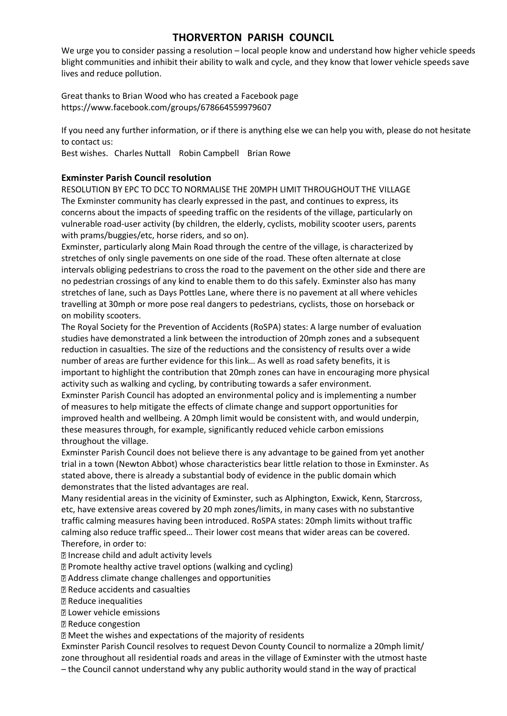We urge you to consider passing a resolution – local people know and understand how higher vehicle speeds blight communities and inhibit their ability to walk and cycle, and they know that lower vehicle speeds save lives and reduce pollution.

Great thanks to Brian Wood who has created a Facebook page https://www.facebook.com/groups/678664559979607

If you need any further information, or if there is anything else we can help you with, please do not hesitate to contact us:

Best wishes. Charles Nuttall Robin Campbell Brian Rowe

## **Exminster Parish Council resolution**

RESOLUTION BY EPC TO DCC TO NORMALISE THE 20MPH LIMIT THROUGHOUT THE VILLAGE The Exminster community has clearly expressed in the past, and continues to express, its concerns about the impacts of speeding traffic on the residents of the village, particularly on vulnerable road-user activity (by children, the elderly, cyclists, mobility scooter users, parents with prams/buggies/etc, horse riders, and so on).

Exminster, particularly along Main Road through the centre of the village, is characterized by stretches of only single pavements on one side of the road. These often alternate at close intervals obliging pedestrians to cross the road to the pavement on the other side and there are no pedestrian crossings of any kind to enable them to do this safely. Exminster also has many stretches of lane, such as Days Pottles Lane, where there is no pavement at all where vehicles travelling at 30mph or more pose real dangers to pedestrians, cyclists, those on horseback or on mobility scooters.

The Royal Society for the Prevention of Accidents (RoSPA) states: A large number of evaluation studies have demonstrated a link between the introduction of 20mph zones and a subsequent reduction in casualties. The size of the reductions and the consistency of results over a wide number of areas are further evidence for this link… As well as road safety benefits, it is important to highlight the contribution that 20mph zones can have in encouraging more physical activity such as walking and cycling, by contributing towards a safer environment.

Exminster Parish Council has adopted an environmental policy and is implementing a number of measures to help mitigate the effects of climate change and support opportunities for improved health and wellbeing. A 20mph limit would be consistent with, and would underpin, these measures through, for example, significantly reduced vehicle carbon emissions throughout the village.

Exminster Parish Council does not believe there is any advantage to be gained from yet another trial in a town (Newton Abbot) whose characteristics bear little relation to those in Exminster. As stated above, there is already a substantial body of evidence in the public domain which demonstrates that the listed advantages are real.

Many residential areas in the vicinity of Exminster, such as Alphington, Exwick, Kenn, Starcross, etc, have extensive areas covered by 20 mph zones/limits, in many cases with no substantive traffic calming measures having been introduced. RoSPA states: 20mph limits without traffic calming also reduce traffic speed… Their lower cost means that wider areas can be covered. Therefore, in order to:

Increase child and adult activity levels

Promote healthy active travel options (walking and cycling)

Address climate change challenges and opportunities

Reduce accidents and casualties

Reduce inequalities

Lower vehicle emissions

Reduce congestion

Meet the wishes and expectations of the majority of residents

Exminster Parish Council resolves to request Devon County Council to normalize a 20mph limit/ zone throughout all residential roads and areas in the village of Exminster with the utmost haste – the Council cannot understand why any public authority would stand in the way of practical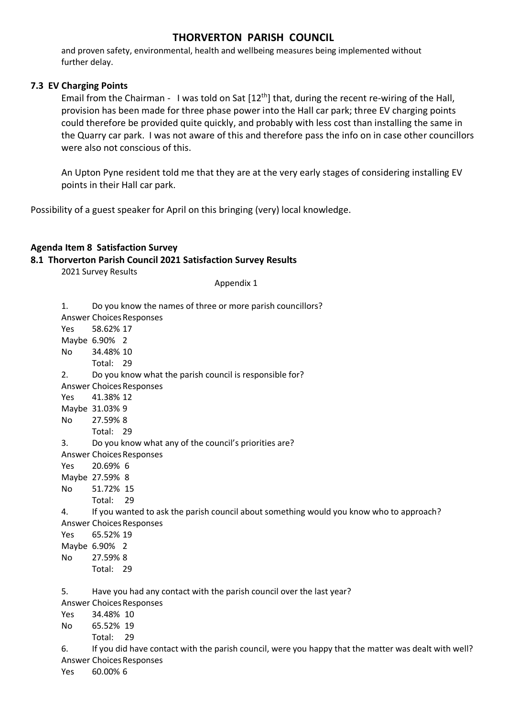and proven safety, environmental, health and wellbeing measures being implemented without further delay.

## **7.3 EV Charging Points**

Email from the Chairman - I was told on Sat [12<sup>th</sup>] that, during the recent re-wiring of the Hall, provision has been made for three phase power into the Hall car park; three EV charging points could therefore be provided quite quickly, and probably with less cost than installing the same in the Quarry car park. I was not aware of this and therefore pass the info on in case other councillors were also not conscious of this.

An Upton Pyne resident told me that they are at the very early stages of considering installing EV points in their Hall car park.

Possibility of a guest speaker for April on this bringing (very) local knowledge.

## **Agenda Item 8 Satisfaction Survey**

## **8.1 Thorverton Parish Council 2021 Satisfaction Survey Results**

2021 Survey Results

Appendix 1

| 1.             | Do you know the names of three or more parish councillors?                                           |
|----------------|------------------------------------------------------------------------------------------------------|
|                | <b>Answer Choices Responses</b>                                                                      |
| <b>Yes</b>     | 58.62% 17                                                                                            |
|                | Maybe 6.90% 2                                                                                        |
| No             | 34.48% 10                                                                                            |
|                | Total: 29                                                                                            |
| 2.             | Do you know what the parish council is responsible for?                                              |
|                | <b>Answer Choices Responses</b>                                                                      |
| Yes            | 41.38% 12                                                                                            |
|                | Maybe 31.03% 9                                                                                       |
| No             | 27.59% 8                                                                                             |
|                | Total: 29                                                                                            |
| 3.             | Do you know what any of the council's priorities are?                                                |
|                | <b>Answer Choices Responses</b>                                                                      |
| <b>Yes</b>     | 20.69% 6                                                                                             |
|                | Maybe 27.59% 8                                                                                       |
| No             | 51.72% 15                                                                                            |
|                | Total:<br>29                                                                                         |
| 4.             | If you wanted to ask the parish council about something would you know who to approach?              |
|                | <b>Answer Choices Responses</b>                                                                      |
| <b>Yes</b>     | 65.52% 19                                                                                            |
|                | Maybe 6.90% 2                                                                                        |
| N <sub>o</sub> | 27.59% 8                                                                                             |
|                | Total: 29                                                                                            |
|                |                                                                                                      |
| 5.             | Have you had any contact with the parish council over the last year?                                 |
|                | <b>Answer Choices Responses</b>                                                                      |
| <b>Yes</b>     | 34.48% 10                                                                                            |
| No.            | 65.52% 19                                                                                            |
|                | Total:<br>29                                                                                         |
| 6.             | If you did have contact with the parish council, were you happy that the matter was dealt with well? |
|                | <b>Answer Choices Responses</b>                                                                      |
|                | $\sim$ $\sim$ $\sim$ $\sim$                                                                          |

Yes 60.00% 6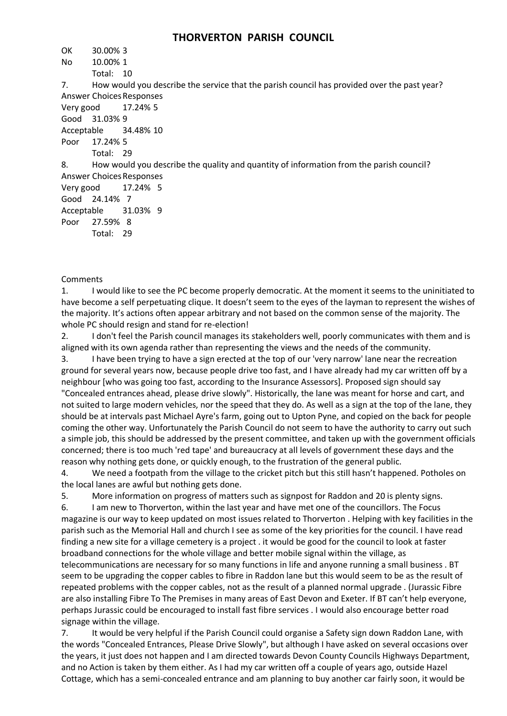| UN        | 30.00% J      |                                                                                             |
|-----------|---------------|---------------------------------------------------------------------------------------------|
| No        | 10.00% 1      |                                                                                             |
|           | Total: 10     |                                                                                             |
| 7.        |               | How would you describe the service that the parish council has provided over the past year? |
|           |               | Answer Choices Responses                                                                    |
| Very good |               | 17.24% 5                                                                                    |
|           | Good 31.03% 9 |                                                                                             |
|           |               | Acceptable 34.48% 10                                                                        |
|           | Poor 17.24% 5 |                                                                                             |
|           | Total: 29     |                                                                                             |
|           |               | How would you describe the quality and quantity of information from the parish council?     |
|           |               | <b>Answer Choices Responses</b>                                                             |
|           |               | Very good 17.24% 5                                                                          |
|           | Good 24.14% 7 |                                                                                             |
|           |               | Acceptable 31.03% 9                                                                         |
|           | Poor 27.59% 8 |                                                                                             |
|           | Total: 29     |                                                                                             |
|           |               |                                                                                             |

#### Comments

OK 30.00% 3

1. I would like to see the PC become properly democratic. At the moment it seems to the uninitiated to have become a self perpetuating clique. It doesn't seem to the eyes of the layman to represent the wishes of the majority. It's actions often appear arbitrary and not based on the common sense of the majority. The whole PC should resign and stand for re-election!

2. I don't feel the Parish council manages its stakeholders well, poorly communicates with them and is aligned with its own agenda rather than representing the views and the needs of the community.

3. I have been trying to have a sign erected at the top of our 'very narrow' lane near the recreation ground for several years now, because people drive too fast, and I have already had my car written off by a neighbour [who was going too fast, according to the Insurance Assessors]. Proposed sign should say "Concealed entrances ahead, please drive slowly". Historically, the lane was meant for horse and cart, and not suited to large modern vehicles, nor the speed that they do. As well as a sign at the top of the lane, they should be at intervals past Michael Ayre's farm, going out to Upton Pyne, and copied on the back for people coming the other way. Unfortunately the Parish Council do not seem to have the authority to carry out such a simple job, this should be addressed by the present committee, and taken up with the government officials concerned; there is too much 'red tape' and bureaucracy at all levels of government these days and the reason why nothing gets done, or quickly enough, to the frustration of the general public.

4. We need a footpath from the village to the cricket pitch but this still hasn't happened. Potholes on the local lanes are awful but nothing gets done.

5. More information on progress of matters such as signpost for Raddon and 20 is plenty signs.

6. I am new to Thorverton, within the last year and have met one of the councillors. The Focus magazine is our way to keep updated on most issues related to Thorverton . Helping with key facilities in the parish such as the Memorial Hall and church I see as some of the key priorities for the council. I have read finding a new site for a village cemetery is a project . it would be good for the council to look at faster broadband connections for the whole village and better mobile signal within the village, as telecommunications are necessary for so many functions in life and anyone running a small business . BT seem to be upgrading the copper cables to fibre in Raddon lane but this would seem to be as the result of repeated problems with the copper cables, not as the result of a planned normal upgrade . (Jurassic Fibre are also installing Fibre To The Premises in many areas of East Devon and Exeter. If BT can't help everyone, perhaps Jurassic could be encouraged to install fast fibre services . I would also encourage better road signage within the village.

7. It would be very helpful if the Parish Council could organise a Safety sign down Raddon Lane, with the words "Concealed Entrances, Please Drive Slowly", but although I have asked on several occasions over the years, it just does not happen and I am directed towards Devon County Councils Highways Department, and no Action is taken by them either. As I had my car written off a couple of years ago, outside Hazel Cottage, which has a semi-concealed entrance and am planning to buy another car fairly soon, it would be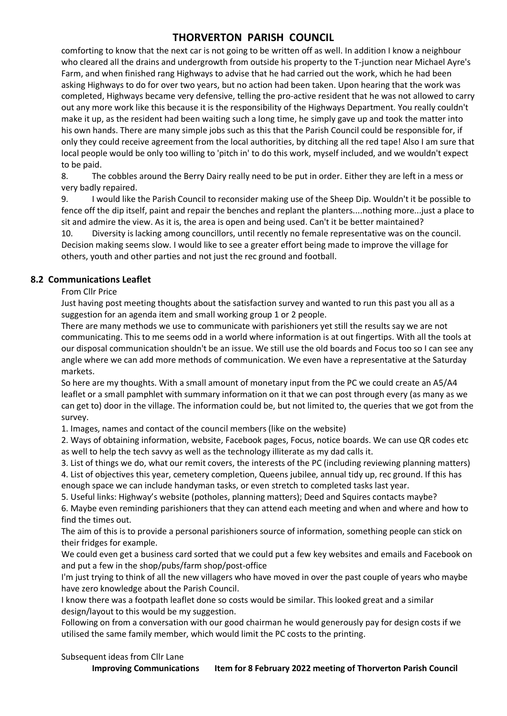comforting to know that the next car is not going to be written off as well. In addition I know a neighbour who cleared all the drains and undergrowth from outside his property to the T-junction near Michael Ayre's Farm, and when finished rang Highways to advise that he had carried out the work, which he had been asking Highways to do for over two years, but no action had been taken. Upon hearing that the work was completed, Highways became very defensive, telling the pro-active resident that he was not allowed to carry out any more work like this because it is the responsibility of the Highways Department. You really couldn't make it up, as the resident had been waiting such a long time, he simply gave up and took the matter into his own hands. There are many simple jobs such as this that the Parish Council could be responsible for, if only they could receive agreement from the local authorities, by ditching all the red tape! Also I am sure that local people would be only too willing to 'pitch in' to do this work, myself included, and we wouldn't expect to be paid.

8. The cobbles around the Berry Dairy really need to be put in order. Either they are left in a mess or very badly repaired.

9. I would like the Parish Council to reconsider making use of the Sheep Dip. Wouldn't it be possible to fence off the dip itself, paint and repair the benches and replant the planters....nothing more...just a place to sit and admire the view. As it is, the area is open and being used. Can't it be better maintained?

10. Diversity is lacking among councillors, until recently no female representative was on the council. Decision making seems slow. I would like to see a greater effort being made to improve the village for others, youth and other parties and not just the rec ground and football.

## **8.2 Communications Leaflet**

From Cllr Price

Just having post meeting thoughts about the satisfaction survey and wanted to run this past you all as a suggestion for an agenda item and small working group 1 or 2 people.

There are many methods we use to communicate with parishioners yet still the results say we are not communicating. This to me seems odd in a world where information is at out fingertips. With all the tools at our disposal communication shouldn't be an issue. We still use the old boards and Focus too so I can see any angle where we can add more methods of communication. We even have a representative at the Saturday markets.

So here are my thoughts. With a small amount of monetary input from the PC we could create an A5/A4 leaflet or a small pamphlet with summary information on it that we can post through every (as many as we can get to) door in the village. The information could be, but not limited to, the queries that we got from the survey.

1. Images, names and contact of the council members (like on the website)

2. Ways of obtaining information, website, Facebook pages, Focus, notice boards. We can use QR codes etc as well to help the tech savvy as well as the technology illiterate as my dad calls it.

3. List of things we do, what our remit covers, the interests of the PC (including reviewing planning matters) 4. List of objectives this year, cemetery completion, Queens jubilee, annual tidy up, rec ground. If this has

enough space we can include handyman tasks, or even stretch to completed tasks last year.

5. Useful links: Highway's website (potholes, planning matters); Deed and Squires contacts maybe?

6. Maybe even reminding parishioners that they can attend each meeting and when and where and how to find the times out.

The aim of this is to provide a personal parishioners source of information, something people can stick on their fridges for example.

We could even get a business card sorted that we could put a few key websites and emails and Facebook on and put a few in the shop/pubs/farm shop/post-office

I'm just trying to think of all the new villagers who have moved in over the past couple of years who maybe have zero knowledge about the Parish Council.

I know there was a footpath leaflet done so costs would be similar. This looked great and a similar design/layout to this would be my suggestion.

Following on from a conversation with our good chairman he would generously pay for design costs if we utilised the same family member, which would limit the PC costs to the printing.

Subsequent ideas from Cllr Lane

**Improving Communications Item for 8 February 2022 meeting of Thorverton Parish Council**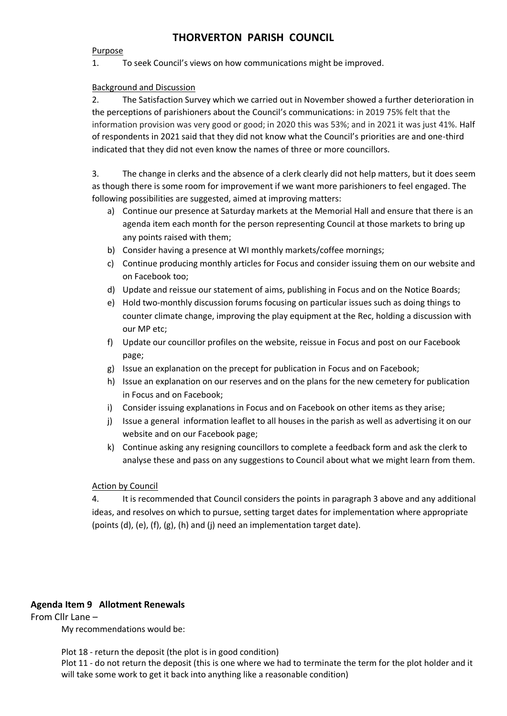#### Purpose

1. To seek Council's views on how communications might be improved.

## Background and Discussion

2. The Satisfaction Survey which we carried out in November showed a further deterioration in the perceptions of parishioners about the Council's communications: in 2019 75% felt that the information provision was very good or good; in 2020 this was 53%; and in 2021 it was just 41%. Half of respondents in 2021 said that they did not know what the Council's priorities are and one-third indicated that they did not even know the names of three or more councillors.

3. The change in clerks and the absence of a clerk clearly did not help matters, but it does seem as though there is some room for improvement if we want more parishioners to feel engaged. The following possibilities are suggested, aimed at improving matters:

- a) Continue our presence at Saturday markets at the Memorial Hall and ensure that there is an agenda item each month for the person representing Council at those markets to bring up any points raised with them;
- b) Consider having a presence at WI monthly markets/coffee mornings;
- c) Continue producing monthly articles for Focus and consider issuing them on our website and on Facebook too;
- d) Update and reissue our statement of aims, publishing in Focus and on the Notice Boards;
- e) Hold two-monthly discussion forums focusing on particular issues such as doing things to counter climate change, improving the play equipment at the Rec, holding a discussion with our MP etc;
- f) Update our councillor profiles on the website, reissue in Focus and post on our Facebook page;
- g) Issue an explanation on the precept for publication in Focus and on Facebook;
- h) Issue an explanation on our reserves and on the plans for the new cemetery for publication in Focus and on Facebook;
- i) Consider issuing explanations in Focus and on Facebook on other items as they arise;
- j) Issue a general information leaflet to all houses in the parish as well as advertising it on our website and on our Facebook page;
- k) Continue asking any resigning councillors to complete a feedback form and ask the clerk to analyse these and pass on any suggestions to Council about what we might learn from them.

## Action by Council

4. It is recommended that Council considers the points in paragraph 3 above and any additional ideas, and resolves on which to pursue, setting target dates for implementation where appropriate (points (d), (e), (f), (g), (h) and (j) need an implementation target date).

# **Agenda Item 9 Allotment Renewals**

From Cllr Lane –

My recommendations would be:

Plot 18 - return the deposit (the plot is in good condition)

Plot 11 - do not return the deposit (this is one where we had to terminate the term for the plot holder and it will take some work to get it back into anything like a reasonable condition)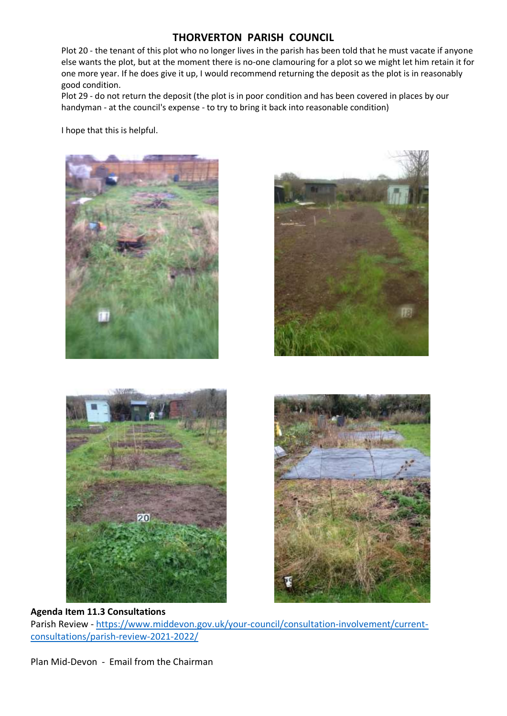Plot 20 - the tenant of this plot who no longer lives in the parish has been told that he must vacate if anyone else wants the plot, but at the moment there is no-one clamouring for a plot so we might let him retain it for one more year. If he does give it up, I would recommend returning the deposit as the plot is in reasonably good condition.

Plot 29 - do not return the deposit (the plot is in poor condition and has been covered in places by our handyman - at the council's expense - to try to bring it back into reasonable condition)

I hope that this is helpful.



# **Agenda Item 11.3 Consultations** Parish Review - [https://www.middevon.gov.uk/your-council/consultation-involvement/current](https://www.middevon.gov.uk/your-council/consultation-involvement/current-consultations/parish-review-2021-2022/)[consultations/parish-review-2021-2022/](https://www.middevon.gov.uk/your-council/consultation-involvement/current-consultations/parish-review-2021-2022/)

Plan Mid-Devon - Email from the Chairman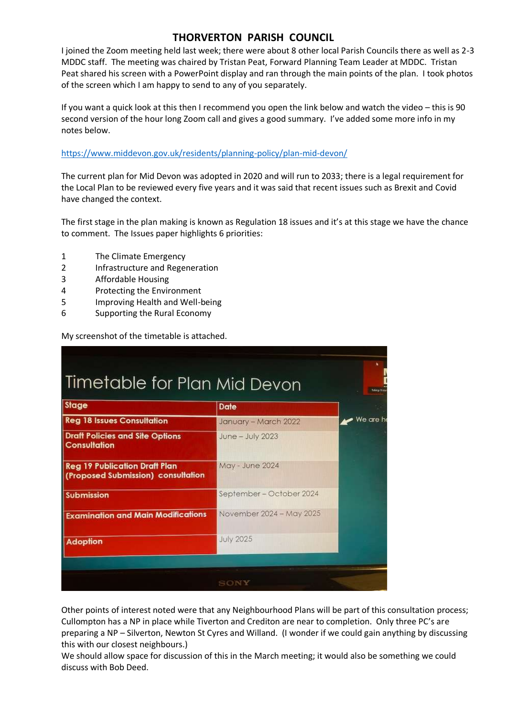I joined the Zoom meeting held last week; there were about 8 other local Parish Councils there as well as 2-3 MDDC staff. The meeting was chaired by Tristan Peat, Forward Planning Team Leader at MDDC. Tristan Peat shared his screen with a PowerPoint display and ran through the main points of the plan. I took photos of the screen which I am happy to send to any of you separately.

If you want a quick look at this then I recommend you open the link below and watch the video – this is 90 second version of the hour long Zoom call and gives a good summary. I've added some more info in my notes below.

#### <https://www.middevon.gov.uk/residents/planning-policy/plan-mid-devon/>

The current plan for Mid Devon was adopted in 2020 and will run to 2033; there is a legal requirement for the Local Plan to be reviewed every five years and it was said that recent issues such as Brexit and Covid have changed the context.

The first stage in the plan making is known as Regulation 18 issues and it's at this stage we have the chance to comment. The Issues paper highlights 6 priorities:

- 1 The Climate Emergency
- 2 Infrastructure and Regeneration
- 3 Affordable Housing
- 4 Protecting the Environment
- 5 Improving Health and Well-being
- 6 Supporting the Rural Economy

My screenshot of the timetable is attached.

| <b>Stage</b>                                                               | <b>Date</b>              |           |
|----------------------------------------------------------------------------|--------------------------|-----------|
| <b>Reg 18 Issues Consultation</b>                                          | January - March 2022     | We are hi |
| <b>Draft Policies and Site Options</b><br><b>Consultation</b>              | June - July 2023         |           |
| <b>Reg 19 Publication Draft Plan</b><br>(Proposed Submission) consultation | May - June 2024          |           |
| <b>Submission</b>                                                          | September – October 2024 |           |
| <b>Examination and Main Modifications</b>                                  | November 2024 - May 2025 |           |
| <b>Adoption</b>                                                            | <b>July 2025</b>         |           |

Other points of interest noted were that any Neighbourhood Plans will be part of this consultation process; Cullompton has a NP in place while Tiverton and Crediton are near to completion. Only three PC's are preparing a NP – Silverton, Newton St Cyres and Willand. (I wonder if we could gain anything by discussing this with our closest neighbours.)

We should allow space for discussion of this in the March meeting; it would also be something we could discuss with Bob Deed.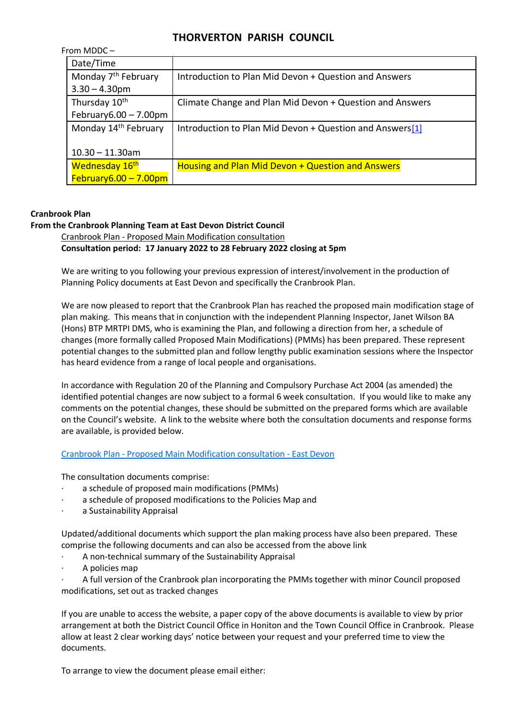| From MDDC $-$                    |                                                          |
|----------------------------------|----------------------------------------------------------|
| Date/Time                        |                                                          |
| Monday 7 <sup>th</sup> February  | Introduction to Plan Mid Devon + Question and Answers    |
| $3.30 - 4.30$ pm                 |                                                          |
| Thursday 10 <sup>th</sup>        | Climate Change and Plan Mid Devon + Question and Answers |
| February $6.00 - 7.00$ pm        |                                                          |
| Monday 14 <sup>th</sup> February | Introduction to Plan Mid Devon + Question and Answers[1] |
| $10.30 - 11.30$ am               |                                                          |
| Wednesday 16 <sup>th</sup>       | Housing and Plan Mid Devon + Question and Answers        |
| $February6.00 - 7.00pm$          |                                                          |

## **Cranbrook Plan**

#### **From the Cranbrook Planning Team at East Devon District Council**

Cranbrook Plan - Proposed Main Modification consultation

**Consultation period: 17 January 2022 to 28 February 2022 closing at 5pm**

We are writing to you following your previous expression of interest/involvement in the production of Planning Policy documents at East Devon and specifically the Cranbrook Plan.

We are now pleased to report that the Cranbrook Plan has reached the proposed main modification stage of plan making. This means that in conjunction with the independent Planning Inspector, Janet Wilson BA (Hons) BTP MRTPI DMS, who is examining the Plan, and following a direction from her, a schedule of changes (more formally called Proposed Main Modifications) (PMMs) has been prepared. These represent potential changes to the submitted plan and follow lengthy public examination sessions where the Inspector has heard evidence from a range of local people and organisations.

In accordance with Regulation 20 of the Planning and Compulsory Purchase Act 2004 (as amended) the identified potential changes are now subject to a formal 6 week consultation. If you would like to make any comments on the potential changes, these should be submitted on the prepared forms which are available on the Council's website. A link to the website where both the consultation documents and response forms are available, is provided below.

#### Cranbrook Plan - [Proposed Main Modification consultation -](https://eastdevon.gov.uk/planning/planning-policy/cranbrook-plan/proposed-main-modification-consultation/#article-content) East Devon

The consultation documents comprise:

- a schedule of proposed main modifications (PMMs)
- a schedule of proposed modifications to the Policies Map and
- a Sustainability Appraisal

Updated/additional documents which support the plan making process have also been prepared. These comprise the following documents and can also be accessed from the above link

- A non-technical summary of the Sustainability Appraisal
- A policies map

· A full version of the Cranbrook plan incorporating the PMMs together with minor Council proposed modifications, set out as tracked changes

If you are unable to access the website, a paper copy of the above documents is available to view by prior arrangement at both the District Council Office in Honiton and the Town Council Office in Cranbrook. Please allow at least 2 clear working days' notice between your request and your preferred time to view the documents.

To arrange to view the document please email either: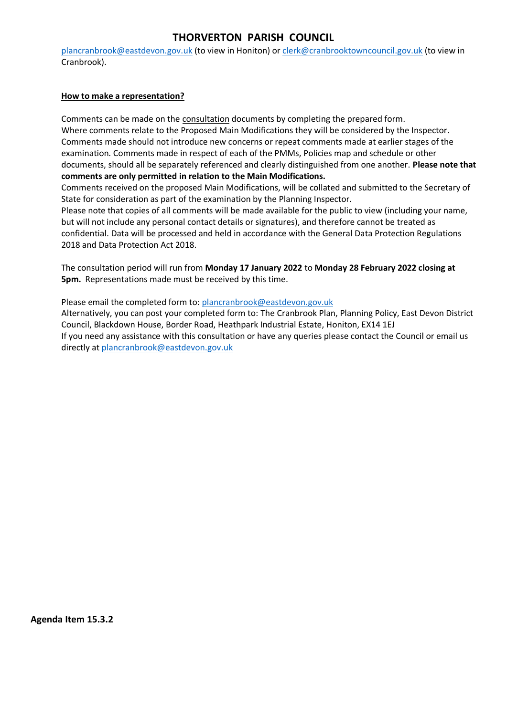[plancranbrook@eastdevon.gov.uk](mailto:plancranbrook@eastdevon.gov.uk) (to view in Honiton) or [clerk@cranbrooktowncouncil.gov.uk](mailto:clerk@cranbrooktowncouncil.gov.uk) (to view in Cranbrook).

### **How to make a representation?**

Comments can be made on the consultation documents by completing the prepared form. Where comments relate to the Proposed Main Modifications they will be considered by the Inspector. Comments made should not introduce new concerns or repeat comments made at earlier stages of the examination. Comments made in respect of each of the PMMs, Policies map and schedule or other documents, should all be separately referenced and clearly distinguished from one another. **Please note that comments are only permitted in relation to the Main Modifications.**

Comments received on the proposed Main Modifications, will be collated and submitted to the Secretary of State for consideration as part of the examination by the Planning Inspector.

Please note that copies of all comments will be made available for the public to view (including your name, but will not include any personal contact details or signatures), and therefore cannot be treated as confidential. Data will be processed and held in accordance with the General Data Protection Regulations 2018 and Data Protection Act 2018.

The consultation period will run from **Monday 17 January 2022** to **Monday 28 February 2022 closing at 5pm.** Representations made must be received by this time.

Please email the completed form to: [plancranbrook@eastdevon.gov.uk](mailto:plancranbrook@eastdevon.gov.uk)

Alternatively, you can post your completed form to: The Cranbrook Plan, Planning Policy, East Devon District Council, Blackdown House, Border Road, Heathpark Industrial Estate, Honiton, EX14 1EJ If you need any assistance with this consultation or have any queries please contact the Council or email us directly at [plancranbrook@eastdevon.gov.uk](mailto:plancranbrook@eastdevon.gov.uk)

**Agenda Item 15.3.2**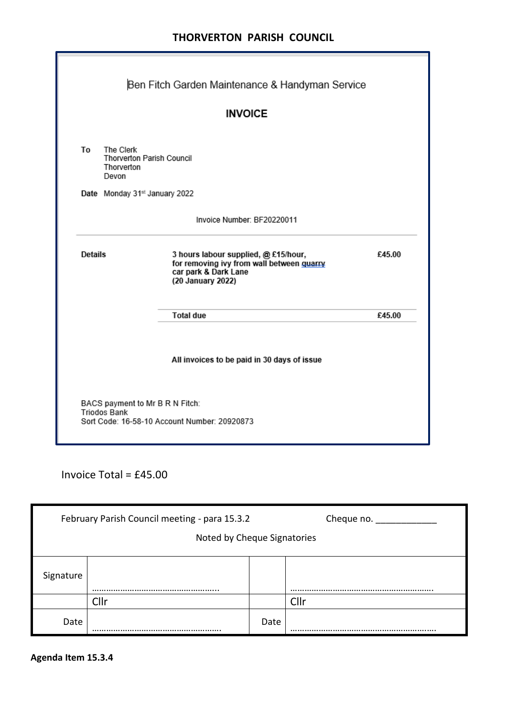|         |                                                                      | Ben Fitch Garden Maintenance & Handyman Service                                                                                |        |
|---------|----------------------------------------------------------------------|--------------------------------------------------------------------------------------------------------------------------------|--------|
|         |                                                                      | <b>INVOICE</b>                                                                                                                 |        |
| Τo      | The Clerk<br><b>Thorverton Parish Council</b><br>Thorverton<br>Devon |                                                                                                                                |        |
|         | Date Monday 31st January 2022                                        |                                                                                                                                |        |
|         |                                                                      | Invoice Number: BF20220011                                                                                                     |        |
| Details |                                                                      | 3 hours labour supplied, @ £15/hour,<br>for removing ivy from wall between quarry<br>car park & Dark Lane<br>(20 January 2022) | £45.00 |
|         |                                                                      | <b>Total due</b>                                                                                                               | £45.00 |
|         |                                                                      | All invoices to be paid in 30 days of issue                                                                                    |        |
|         | BACS payment to Mr B R N Fitch:<br><b>Triodos Bank</b>               | Sort Code: 16-58-10 Account Number: 20920873                                                                                   |        |

Invoice Total = £45.00

| February Parish Council meeting - para 15.3.2<br>Cheque no. $\_\_$ |                             |      |       |
|--------------------------------------------------------------------|-----------------------------|------|-------|
|                                                                    | Noted by Cheque Signatories |      |       |
| Signature                                                          |                             |      | <br>. |
|                                                                    | Cllr                        |      | Cllr  |
| Date                                                               |                             | Date |       |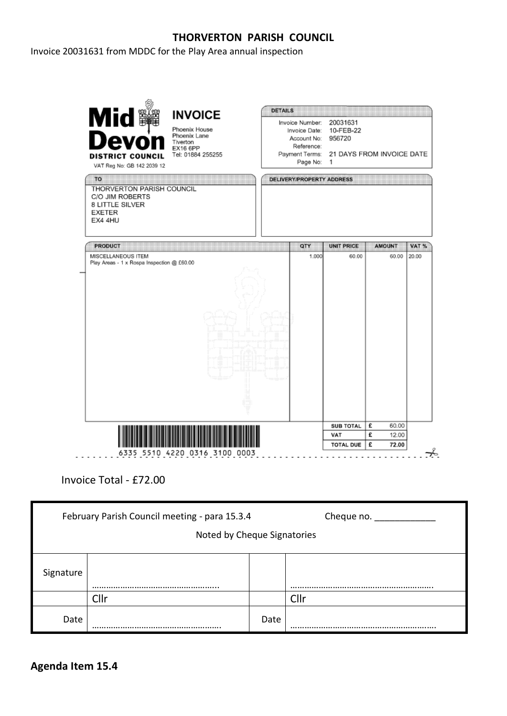Invoice 20031631 from MDDC for the Play Area annual inspection



Invoice Total - £72.00

| February Parish Council meeting - para 15.3.4 |                             |      | Cheque no. |
|-----------------------------------------------|-----------------------------|------|------------|
|                                               | Noted by Cheque Signatories |      |            |
| Signature                                     |                             |      |            |
|                                               | Cllr                        |      | Cllr       |
| Date                                          |                             | Date |            |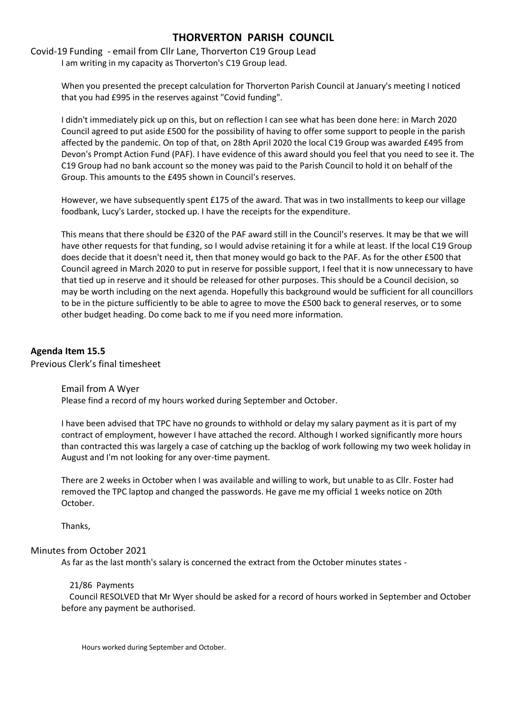Covid-19 Funding - email from Cllr Lane, Thorverton C19 Group Lead I am writing in my capacity as Thorverton's C19 Group lead.

> When you presented the precept calculation for Thorverton Parish Council at January's meeting I noticed that you had £995 in the reserves against "Covid funding".

I didn't immediately pick up on this, but on reflection I can see what has been done here: in March 2020 Council agreed to put aside £500 for the possibility of having to offer some support to people in the parish affected by the pandemic. On top of that, on 28th April 2020 the local C19 Group was awarded £495 from Devon's Prompt Action Fund (PAF). I have evidence of this award should you feel that you need to see it. The C19 Group had no bank account so the money was paid to the Parish Council to hold it on behalf of the Group. This amounts to the £495 shown in Council's reserves.

However, we have subsequently spent £175 of the award. That was in two installments to keep our village foodbank, Lucy's Larder, stocked up. I have the receipts for the expenditure.

This means that there should be £320 of the PAF award still in the Council's reserves. It may be that we will have other requests for that funding, so I would advise retaining it for a while at least. If the local C19 Group does decide that it doesn't need it, then that money would go back to the PAF. As for the other £500 that Council agreed in March 2020 to put in reserve for possible support, I feel that it is now unnecessary to have that tied up in reserve and it should be released for other purposes. This should be a Council decision, so may be worth including on the next agenda. Hopefully this background would be sufficient for all councillors to be in the picture sufficiently to be able to agree to move the £500 back to general reserves, or to some other budget heading. Do come back to me if you need more information.

## **Agenda Item 15.5**

Previous Clerk's final timesheet

Email from A Wyer

Please find a record of my hours worked during September and October.

I have been advised that TPC have no grounds to withhold or delay my salary payment as it is part of my contract of employment, however I have attached the record. Although I worked significantly more hours than contracted this was largely a case of catching up the backlog of work following my two week holiday in August and I'm not looking for any over-time payment.

There are 2 weeks in October when I was available and willing to work, but unable to as Cllr. Foster had removed the TPC laptop and changed the passwords. He gave me my official 1 weeks notice on 20th October.

Thanks,

#### Minutes from October 2021

As far as the last month's salary is concerned the extract from the October minutes states -

#### 21/86 Payments

 Council RESOLVED that Mr Wyer should be asked for a record of hours worked in September and October before any payment be authorised.

Hours worked during September and October.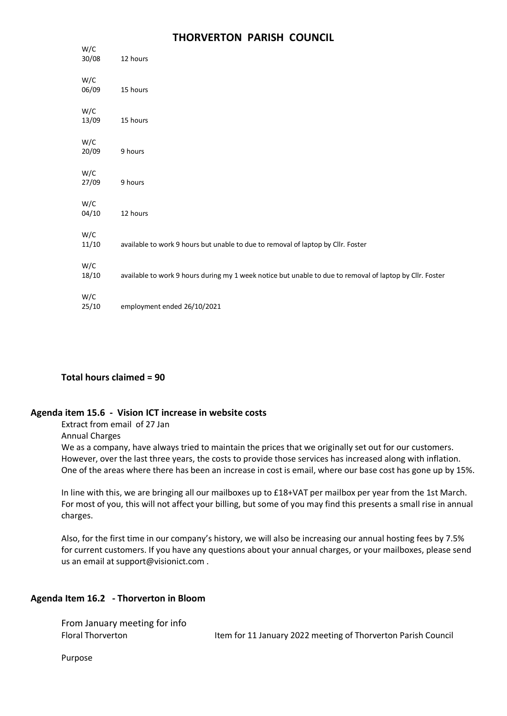| W/C<br>30/08 | 12 hours                                                                                                 |
|--------------|----------------------------------------------------------------------------------------------------------|
| W/C<br>06/09 | 15 hours                                                                                                 |
| W/C<br>13/09 | 15 hours                                                                                                 |
| W/C<br>20/09 | 9 hours                                                                                                  |
| W/C<br>27/09 | 9 hours                                                                                                  |
| W/C<br>04/10 | 12 hours                                                                                                 |
| W/C<br>11/10 | available to work 9 hours but unable to due to removal of laptop by Cllr. Foster                         |
| W/C<br>18/10 | available to work 9 hours during my 1 week notice but unable to due to removal of laptop by Cllr. Foster |
| W/C<br>25/10 | employment ended 26/10/2021                                                                              |

## **Total hours claimed = 90**

#### **Agenda item 15.6 - Vision ICT increase in website costs**

Extract from email of 27 Jan

Annual Charges

We as a company, have always tried to maintain the prices that we originally set out for our customers. However, over the last three years, the costs to provide those services has increased along with inflation. One of the areas where there has been an increase in cost is email, where our base cost has gone up by 15%.

In line with this, we are bringing all our mailboxes up to £18+VAT per mailbox per year from the 1st March. For most of you, this will not affect your billing, but some of you may find this presents a small rise in annual charges.

Also, for the first time in our company's history, we will also be increasing our annual hosting fees by 7.5% for current customers. If you have any questions about your annual charges, or your mailboxes, please send us an email at support@visionict.com .

## **Agenda Item 16.2 - Thorverton in Bloom**

| From January meeting for info |                                                               |
|-------------------------------|---------------------------------------------------------------|
| Floral Thorverton             | Item for 11 January 2022 meeting of Thorverton Parish Council |

Purpose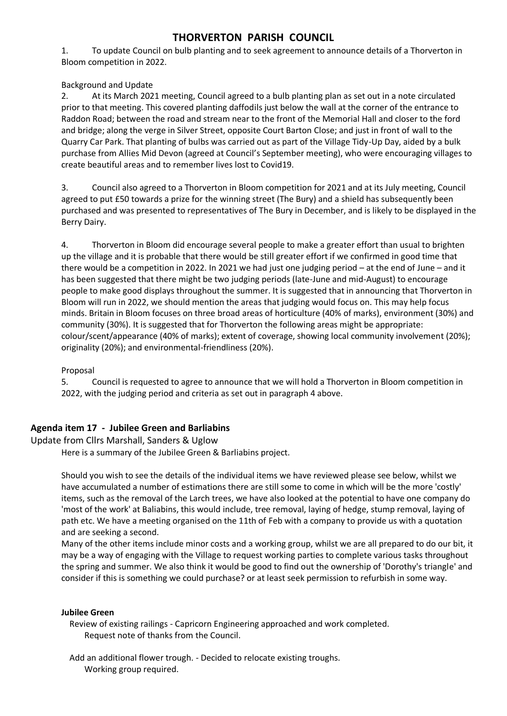1. To update Council on bulb planting and to seek agreement to announce details of a Thorverton in Bloom competition in 2022.

Background and Update

2. At its March 2021 meeting, Council agreed to a bulb planting plan as set out in a note circulated prior to that meeting. This covered planting daffodils just below the wall at the corner of the entrance to Raddon Road; between the road and stream near to the front of the Memorial Hall and closer to the ford and bridge; along the verge in Silver Street, opposite Court Barton Close; and just in front of wall to the Quarry Car Park. That planting of bulbs was carried out as part of the Village Tidy-Up Day, aided by a bulk purchase from Allies Mid Devon (agreed at Council's September meeting), who were encouraging villages to create beautiful areas and to remember lives lost to Covid19.

3. Council also agreed to a Thorverton in Bloom competition for 2021 and at its July meeting, Council agreed to put £50 towards a prize for the winning street (The Bury) and a shield has subsequently been purchased and was presented to representatives of The Bury in December, and is likely to be displayed in the Berry Dairy.

4. Thorverton in Bloom did encourage several people to make a greater effort than usual to brighten up the village and it is probable that there would be still greater effort if we confirmed in good time that there would be a competition in 2022. In 2021 we had just one judging period – at the end of June – and it has been suggested that there might be two judging periods (late-June and mid-August) to encourage people to make good displays throughout the summer. It is suggested that in announcing that Thorverton in Bloom will run in 2022, we should mention the areas that judging would focus on. This may help focus minds. Britain in Bloom focuses on three broad areas of horticulture (40% of marks), environment (30%) and community (30%). It is suggested that for Thorverton the following areas might be appropriate: colour/scent/appearance (40% of marks); extent of coverage, showing local community involvement (20%); originality (20%); and environmental-friendliness (20%).

# Proposal

5. Council is requested to agree to announce that we will hold a Thorverton in Bloom competition in 2022, with the judging period and criteria as set out in paragraph 4 above.

# **Agenda item 17 - Jubilee Green and Barliabins**

Update from Cllrs Marshall, Sanders & Uglow

Here is a summary of the Jubilee Green & Barliabins project.

Should you wish to see the details of the individual items we have reviewed please see below, whilst we have accumulated a number of estimations there are still some to come in which will be the more 'costly' items, such as the removal of the Larch trees, we have also looked at the potential to have one company do 'most of the work' at Baliabins, this would include, tree removal, laying of hedge, stump removal, laying of path etc. We have a meeting organised on the 11th of Feb with a company to provide us with a quotation and are seeking a second.

Many of the other items include minor costs and a working group, whilst we are all prepared to do our bit, it may be a way of engaging with the Village to request working parties to complete various tasks throughout the spring and summer. We also think it would be good to find out the ownership of 'Dorothy's triangle' and consider if this is something we could purchase? or at least seek permission to refurbish in some way.

## **Jubilee Green**

 Review of existing railings - Capricorn Engineering approached and work completed. Request note of thanks from the Council.

 Add an additional flower trough. - Decided to relocate existing troughs. Working group required.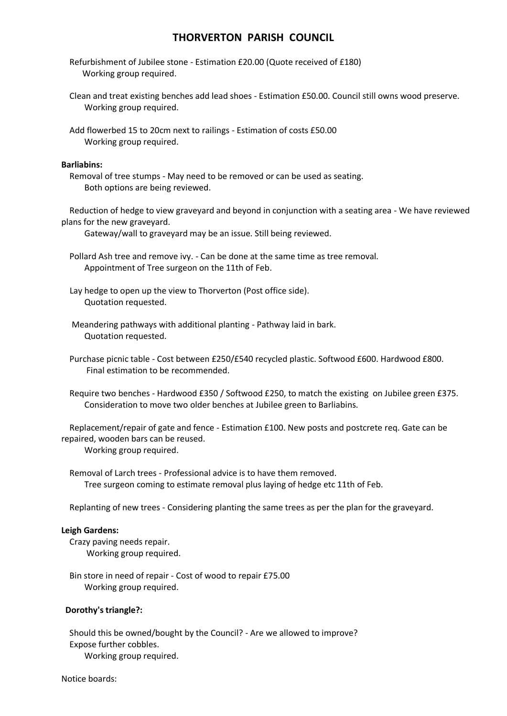- Refurbishment of Jubilee stone Estimation £20.00 (Quote received of £180) Working group required.
- Clean and treat existing benches add lead shoes Estimation £50.00. Council still owns wood preserve. Working group required.
- Add flowerbed 15 to 20cm next to railings Estimation of costs £50.00 Working group required.

#### **Barliabins:**

 Removal of tree stumps - May need to be removed or can be used as seating. Both options are being reviewed.

 Reduction of hedge to view graveyard and beyond in conjunction with a seating area - We have reviewed plans for the new graveyard.

Gateway/wall to graveyard may be an issue. Still being reviewed.

 Pollard Ash tree and remove ivy. - Can be done at the same time as tree removal. Appointment of Tree surgeon on the 11th of Feb.

 Lay hedge to open up the view to Thorverton (Post office side). Quotation requested.

 Meandering pathways with additional planting - Pathway laid in bark. Quotation requested.

 Purchase picnic table - Cost between £250/£540 recycled plastic. Softwood £600. Hardwood £800. Final estimation to be recommended.

 Require two benches - Hardwood £350 / Softwood £250, to match the existing on Jubilee green £375. Consideration to move two older benches at Jubilee green to Barliabins.

 Replacement/repair of gate and fence - Estimation £100. New posts and postcrete req. Gate can be repaired, wooden bars can be reused.

Working group required.

 Removal of Larch trees - Professional advice is to have them removed. Tree surgeon coming to estimate removal plus laying of hedge etc 11th of Feb.

Replanting of new trees - Considering planting the same trees as per the plan for the graveyard.

#### **Leigh Gardens:**

 Crazy paving needs repair. Working group required.

 Bin store in need of repair - Cost of wood to repair £75.00 Working group required.

#### **Dorothy's triangle?:**

 Should this be owned/bought by the Council? - Are we allowed to improve? Expose further cobbles. Working group required.

#### Notice boards: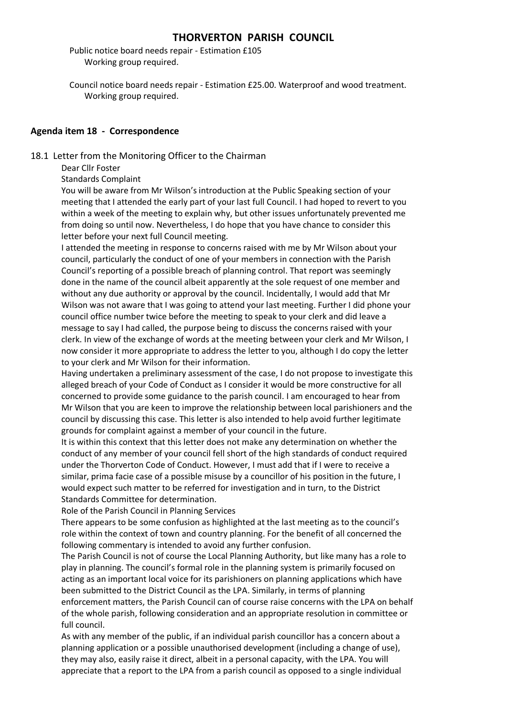Public notice board needs repair - Estimation £105 Working group required.

 Council notice board needs repair - Estimation £25.00. Waterproof and wood treatment. Working group required.

### **Agenda item 18 - Correspondence**

18.1 Letter from the Monitoring Officer to the Chairman

Dear Cllr Foster

Standards Complaint

You will be aware from Mr Wilson's introduction at the Public Speaking section of your meeting that I attended the early part of your last full Council. I had hoped to revert to you within a week of the meeting to explain why, but other issues unfortunately prevented me from doing so until now. Nevertheless, I do hope that you have chance to consider this letter before your next full Council meeting.

I attended the meeting in response to concerns raised with me by Mr Wilson about your council, particularly the conduct of one of your members in connection with the Parish Council's reporting of a possible breach of planning control. That report was seemingly done in the name of the council albeit apparently at the sole request of one member and without any due authority or approval by the council. Incidentally, I would add that Mr Wilson was not aware that I was going to attend your last meeting. Further I did phone your council office number twice before the meeting to speak to your clerk and did leave a message to say I had called, the purpose being to discuss the concerns raised with your clerk. In view of the exchange of words at the meeting between your clerk and Mr Wilson, I now consider it more appropriate to address the letter to you, although I do copy the letter to your clerk and Mr Wilson for their information.

Having undertaken a preliminary assessment of the case, I do not propose to investigate this alleged breach of your Code of Conduct as I consider it would be more constructive for all concerned to provide some guidance to the parish council. I am encouraged to hear from Mr Wilson that you are keen to improve the relationship between local parishioners and the council by discussing this case. This letter is also intended to help avoid further legitimate grounds for complaint against a member of your council in the future.

It is within this context that this letter does not make any determination on whether the conduct of any member of your council fell short of the high standards of conduct required under the Thorverton Code of Conduct. However, I must add that if I were to receive a similar, prima facie case of a possible misuse by a councillor of his position in the future, I would expect such matter to be referred for investigation and in turn, to the District Standards Committee for determination.

Role of the Parish Council in Planning Services

There appears to be some confusion as highlighted at the last meeting as to the council's role within the context of town and country planning. For the benefit of all concerned the following commentary is intended to avoid any further confusion.

The Parish Council is not of course the Local Planning Authority, but like many has a role to play in planning. The council's formal role in the planning system is primarily focused on acting as an important local voice for its parishioners on planning applications which have been submitted to the District Council as the LPA. Similarly, in terms of planning enforcement matters, the Parish Council can of course raise concerns with the LPA on behalf of the whole parish, following consideration and an appropriate resolution in committee or full council.

As with any member of the public, if an individual parish councillor has a concern about a planning application or a possible unauthorised development (including a change of use), they may also, easily raise it direct, albeit in a personal capacity, with the LPA. You will appreciate that a report to the LPA from a parish council as opposed to a single individual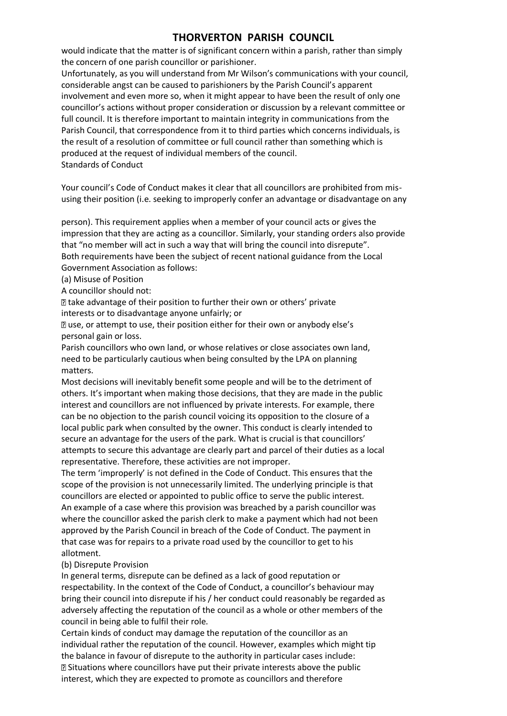would indicate that the matter is of significant concern within a parish, rather than simply the concern of one parish councillor or parishioner.

Unfortunately, as you will understand from Mr Wilson's communications with your council, considerable angst can be caused to parishioners by the Parish Council's apparent involvement and even more so, when it might appear to have been the result of only one councillor's actions without proper consideration or discussion by a relevant committee or full council. It is therefore important to maintain integrity in communications from the Parish Council, that correspondence from it to third parties which concerns individuals, is the result of a resolution of committee or full council rather than something which is produced at the request of individual members of the council. Standards of Conduct

Your council's Code of Conduct makes it clear that all councillors are prohibited from misusing their position (i.e. seeking to improperly confer an advantage or disadvantage on any

person). This requirement applies when a member of your council acts or gives the impression that they are acting as a councillor. Similarly, your standing orders also provide that "no member will act in such a way that will bring the council into disrepute". Both requirements have been the subject of recent national guidance from the Local Government Association as follows:

(a) Misuse of Position

A councillor should not:

take advantage of their position to further their own or others' private interests or to disadvantage anyone unfairly; or

use, or attempt to use, their position either for their own or anybody else's personal gain or loss.

Parish councillors who own land, or whose relatives or close associates own land, need to be particularly cautious when being consulted by the LPA on planning matters.

Most decisions will inevitably benefit some people and will be to the detriment of others. It's important when making those decisions, that they are made in the public interest and councillors are not influenced by private interests. For example, there can be no objection to the parish council voicing its opposition to the closure of a local public park when consulted by the owner. This conduct is clearly intended to secure an advantage for the users of the park. What is crucial is that councillors' attempts to secure this advantage are clearly part and parcel of their duties as a local representative. Therefore, these activities are not improper.

The term 'improperly' is not defined in the Code of Conduct. This ensures that the scope of the provision is not unnecessarily limited. The underlying principle is that councillors are elected or appointed to public office to serve the public interest. An example of a case where this provision was breached by a parish councillor was where the councillor asked the parish clerk to make a payment which had not been approved by the Parish Council in breach of the Code of Conduct. The payment in that case was for repairs to a private road used by the councillor to get to his allotment.

#### (b) Disrepute Provision

In general terms, disrepute can be defined as a lack of good reputation or respectability. In the context of the Code of Conduct, a councillor's behaviour may bring their council into disrepute if his / her conduct could reasonably be regarded as adversely affecting the reputation of the council as a whole or other members of the council in being able to fulfil their role.

Certain kinds of conduct may damage the reputation of the councillor as an individual rather the reputation of the council. However, examples which might tip the balance in favour of disrepute to the authority in particular cases include: Situations where councillors have put their private interests above the public interest, which they are expected to promote as councillors and therefore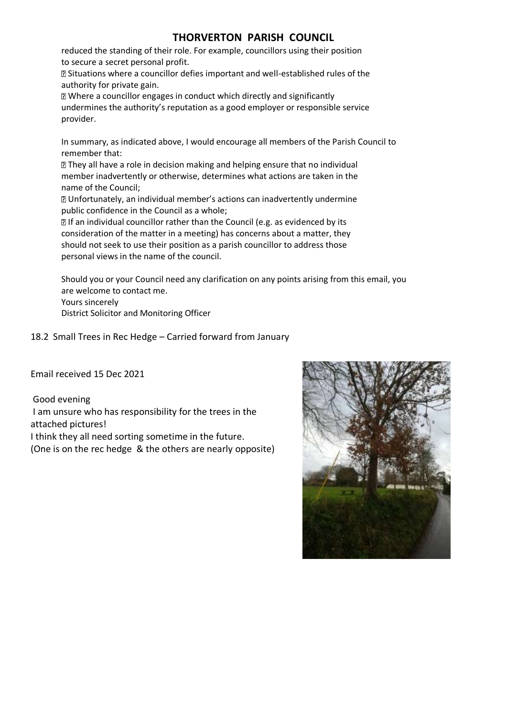reduced the standing of their role. For example, councillors using their position to secure a secret personal profit.

Situations where a councillor defies important and well-established rules of the authority for private gain.

Where a councillor engages in conduct which directly and significantly undermines the authority's reputation as a good employer or responsible service provider.

In summary, as indicated above, I would encourage all members of the Parish Council to remember that:

**They all have a role in decision making and helping ensure that no individual** member inadvertently or otherwise, determines what actions are taken in the name of the Council;

Unfortunately, an individual member's actions can inadvertently undermine public confidence in the Council as a whole;

**If an individual councillor rather than the Council (e.g. as evidenced by its** consideration of the matter in a meeting) has concerns about a matter, they should not seek to use their position as a parish councillor to address those personal views in the name of the council.

Should you or your Council need any clarification on any points arising from this email, you are welcome to contact me. Yours sincerely

District Solicitor and Monitoring Officer

18.2 Small Trees in Rec Hedge – Carried forward from January

Email received 15 Dec 2021

Good evening I am unsure who has responsibility for the trees in the attached pictures!

I think they all need sorting sometime in the future. (One is on the rec hedge & the others are nearly opposite)

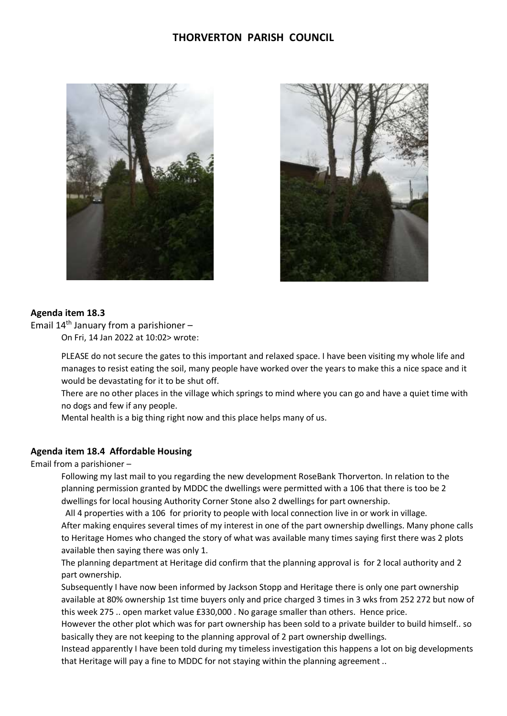



### **Agenda item 18.3**

Email  $14<sup>th</sup>$  January from a parishioner –

On Fri, 14 Jan 2022 at 10:02> wrote:

PLEASE do not secure the gates to this important and relaxed space. I have been visiting my whole life and manages to resist eating the soil, many people have worked over the years to make this a nice space and it would be devastating for it to be shut off.

There are no other places in the village which springs to mind where you can go and have a quiet time with no dogs and few if any people.

Mental health is a big thing right now and this place helps many of us.

### **Agenda item 18.4 Affordable Housing**

Email from a parishioner –

Following my last mail to you regarding the new development RoseBank Thorverton. In relation to the planning permission granted by MDDC the dwellings were permitted with a 106 that there is too be 2 dwellings for local housing Authority Corner Stone also 2 dwellings for part ownership.

All 4 properties with a 106 for priority to people with local connection live in or work in village.

After making enquires several times of my interest in one of the part ownership dwellings. Many phone calls to Heritage Homes who changed the story of what was available many times saying first there was 2 plots available then saying there was only 1.

The planning department at Heritage did confirm that the planning approval is for 2 local authority and 2 part ownership.

Subsequently I have now been informed by Jackson Stopp and Heritage there is only one part ownership available at 80% ownership 1st time buyers only and price charged 3 times in 3 wks from 252 272 but now of this week 275 .. open market value £330,000 . No garage smaller than others. Hence price.

However the other plot which was for part ownership has been sold to a private builder to build himself.. so basically they are not keeping to the planning approval of 2 part ownership dwellings.

Instead apparently I have been told during my timeless investigation this happens a lot on big developments that Heritage will pay a fine to MDDC for not staying within the planning agreement ..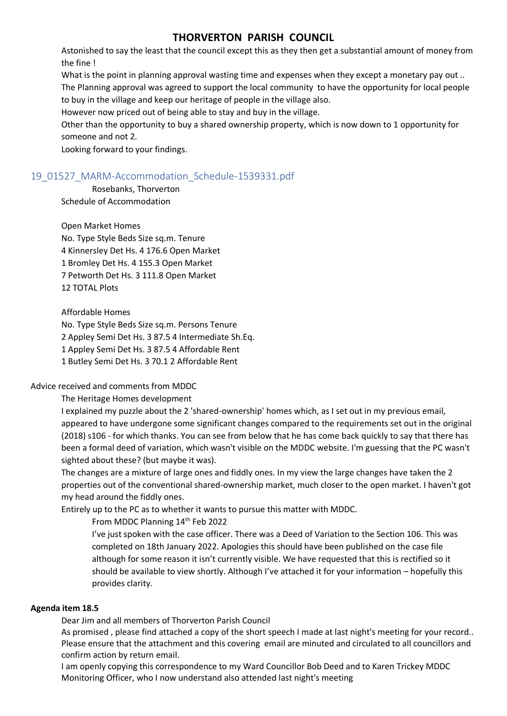Astonished to say the least that the council except this as they then get a substantial amount of money from the fine !

What is the point in planning approval wasting time and expenses when they except a monetary pay out .. The Planning approval was agreed to support the local community to have the opportunity for local people to buy in the village and keep our heritage of people in the village also.

However now priced out of being able to stay and buy in the village.

Other than the opportunity to buy a shared ownership property, which is now down to 1 opportunity for someone and not 2.

Looking forward to your findings.

# 19\_01527\_MARM-Accommodation\_Schedule-1539331.pdf

#### Rosebanks, Thorverton

Schedule of Accommodation

## Open Market Homes

No. Type Style Beds Size sq.m. Tenure 4 Kinnersley Det Hs. 4 176.6 Open Market 1 Bromley Det Hs. 4 155.3 Open Market 7 Petworth Det Hs. 3 111.8 Open Market 12 TOTAL Plots

Affordable Homes

No. Type Style Beds Size sq.m. Persons Tenure 2 Appley Semi Det Hs. 3 87.5 4 Intermediate Sh.Eq.

1 Appley Semi Det Hs. 3 87.5 4 Affordable Rent

1 Butley Semi Det Hs. 3 70.1 2 Affordable Rent

## Advice received and comments from MDDC

The Heritage Homes development

I explained my puzzle about the 2 'shared-ownership' homes which, as I set out in my previous email, appeared to have undergone some significant changes compared to the requirements set out in the original (2018) s106 - for which thanks. You can see from below that he has come back quickly to say that there has been a formal deed of variation, which wasn't visible on the MDDC website. I'm guessing that the PC wasn't sighted about these? (but maybe it was).

The changes are a mixture of large ones and fiddly ones. In my view the large changes have taken the 2 properties out of the conventional shared-ownership market, much closer to the open market. I haven't got my head around the fiddly ones.

Entirely up to the PC as to whether it wants to pursue this matter with MDDC.

From MDDC Planning 14th Feb 2022

I've just spoken with the case officer. There was a Deed of Variation to the Section 106. This was completed on 18th January 2022. Apologies this should have been published on the case file although for some reason it isn't currently visible. We have requested that this is rectified so it should be available to view shortly. Although I've attached it for your information – hopefully this provides clarity.

#### **Agenda item 18.5**

Dear Jim and all members of Thorverton Parish Council

As promised , please find attached a copy of the short speech I made at last night's meeting for your record.. Please ensure that the attachment and this covering email are minuted and circulated to all councillors and confirm action by return email.

I am openly copying this correspondence to my Ward Councillor Bob Deed and to Karen Trickey MDDC Monitoring Officer, who I now understand also attended last night's meeting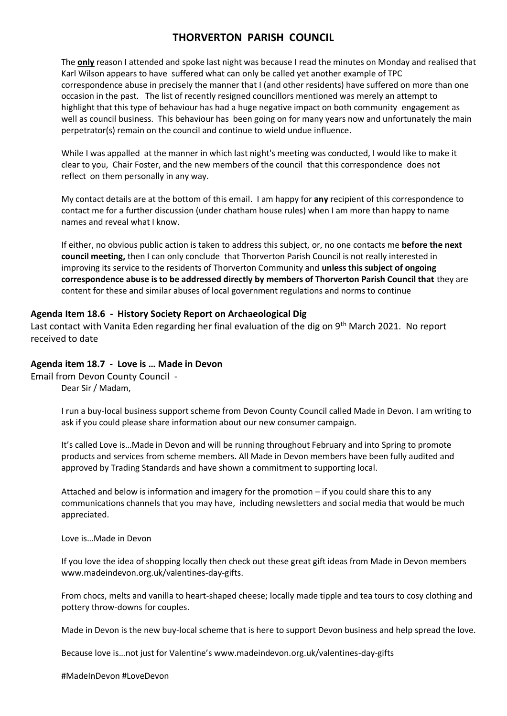The **only** reason I attended and spoke last night was because I read the minutes on Monday and realised that Karl Wilson appears to have suffered what can only be called yet another example of TPC correspondence abuse in precisely the manner that I (and other residents) have suffered on more than one occasion in the past. The list of recently resigned councillors mentioned was merely an attempt to highlight that this type of behaviour has had a huge negative impact on both community engagement as well as council business. This behaviour has been going on for many years now and unfortunately the main perpetrator(s) remain on the council and continue to wield undue influence.

While I was appalled at the manner in which last night's meeting was conducted, I would like to make it clear to you, Chair Foster, and the new members of the council that this correspondence does not reflect on them personally in any way.

My contact details are at the bottom of this email. I am happy for **any** recipient of this correspondence to contact me for a further discussion (under chatham house rules) when I am more than happy to name names and reveal what I know.

If either, no obvious public action is taken to address this subject, or, no one contacts me **before the next council meeting,** then I can only conclude that Thorverton Parish Council is not really interested in improving its service to the residents of Thorverton Community and **unless this subject of ongoing correspondence abuse is to be addressed directly by members of Thorverton Parish Council that** they are content for these and similar abuses of local government regulations and norms to continue

### **Agenda Item 18.6 - History Society Report on Archaeological Dig**

Last contact with Vanita Eden regarding her final evaluation of the dig on 9<sup>th</sup> March 2021. No report received to date

## **Agenda item 18.7 - Love is … Made in Devon**

Email from Devon County Council - Dear Sir / Madam,

> I run a buy-local business support scheme from Devon County Council called Made in Devon. I am writing to ask if you could please share information about our new consumer campaign.

It's called Love is…Made in Devon and will be running throughout February and into Spring to promote products and services from scheme members. All Made in Devon members have been fully audited and approved by Trading Standards and have shown a commitment to supporting local.

Attached and below is information and imagery for the promotion – if you could share this to any communications channels that you may have, including newsletters and social media that would be much appreciated.

Love is…Made in Devon

If you love the idea of shopping locally then check out these great gift ideas from Made in Devon members www.madeindevon.org.uk/valentines-day-gifts.

From chocs, melts and vanilla to heart-shaped cheese; locally made tipple and tea tours to cosy clothing and pottery throw-downs for couples.

Made in Devon is the new buy-local scheme that is here to support Devon business and help spread the love.

Because love is…not just for Valentine's www.madeindevon.org.uk/valentines-day-gifts

#MadeInDevon #LoveDevon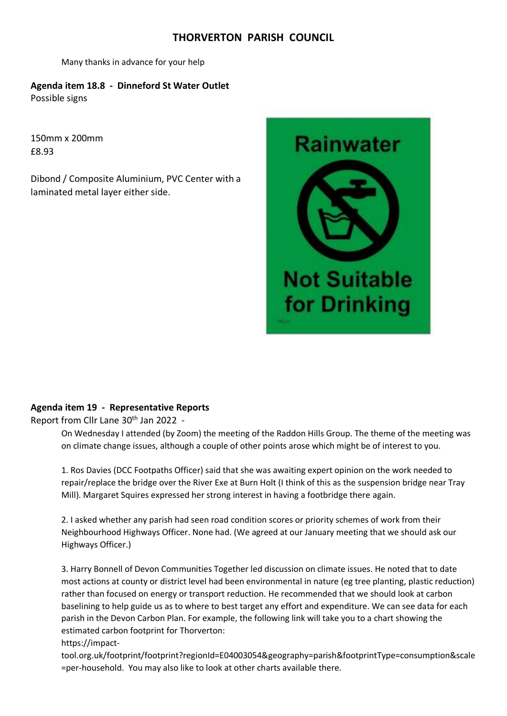Many thanks in advance for your help

**Agenda item 18.8 - Dinneford St Water Outlet**  Possible signs

150mm x 200mm £8.93

Dibond / Composite Aluminium, PVC Center with a laminated metal layer either side.



# **Agenda item 19 - Representative Reports**

Report from Cllr Lane 30<sup>th</sup> Jan 2022 -

On Wednesday I attended (by Zoom) the meeting of the Raddon Hills Group. The theme of the meeting was on climate change issues, although a couple of other points arose which might be of interest to you.

1. Ros Davies (DCC Footpaths Officer) said that she was awaiting expert opinion on the work needed to repair/replace the bridge over the River Exe at Burn Holt (I think of this as the suspension bridge near Tray Mill). Margaret Squires expressed her strong interest in having a footbridge there again.

2. I asked whether any parish had seen road condition scores or priority schemes of work from their Neighbourhood Highways Officer. None had. (We agreed at our January meeting that we should ask our Highways Officer.)

3. Harry Bonnell of Devon Communities Together led discussion on climate issues. He noted that to date most actions at county or district level had been environmental in nature (eg tree planting, plastic reduction) rather than focused on energy or transport reduction. He recommended that we should look at carbon baselining to help guide us as to where to best target any effort and expenditure. We can see data for each parish in the Devon Carbon Plan. For example, the following link will take you to a chart showing the estimated carbon footprint for Thorverton:

## https://impact-

tool.org.uk/footprint/footprint?regionId=E04003054&geography=parish&footprintType=consumption&scale =per-household. You may also like to look at other charts available there.